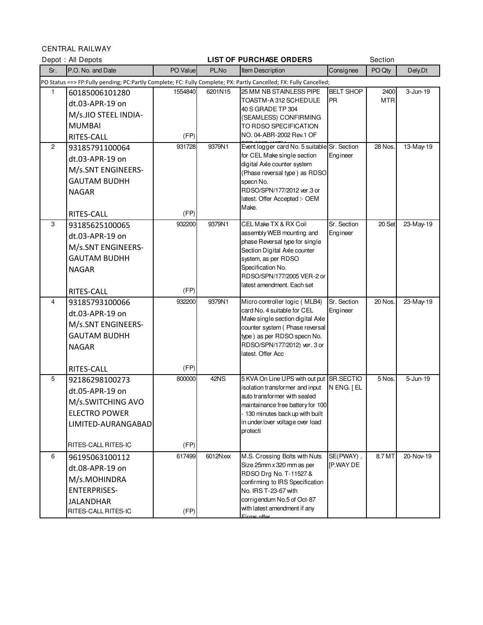CENTRAL RAILWAY

|                | Depot: All Depots    |          |         | <b>LIST OF PURCHASE ORDERS</b>                                                                                     |                               | Section    |           |
|----------------|----------------------|----------|---------|--------------------------------------------------------------------------------------------------------------------|-------------------------------|------------|-----------|
| Sr.            | P.O. No. and Date    | PO Value | PL.No   | <b>Item Description</b>                                                                                            | Consignee                     | PO Qtv     | Dely.Dt   |
|                |                      |          |         | PO Status ==> FP:Fully pending; PC:Partly Complete; FC: Fully Complete; PX: Partly Cancelled; FX: Fully Cancelled; |                               |            |           |
| $\mathbf{1}$   | 60185006101280       | 1554840  | 6201N15 | <b>25 MM NB STAINLESS PIPE</b>                                                                                     | <b>BELT SHOP</b>              | 2400       | 3-Jun-19  |
|                | dt.03-APR-19 on      |          |         | TOASTM-A 312 SCHEDULE                                                                                              | <b>PR</b>                     | <b>MTR</b> |           |
|                | M/s.JIO STEEL INDIA- |          |         | 40 S GRADE TP 304<br>(SEAMLESS) CONFIRMING                                                                         |                               |            |           |
|                | <b>MUMBAI</b>        |          |         | TO RDSO SPECIFICATION                                                                                              |                               |            |           |
|                | RITES-CALL           | (FP)     |         | NO. 04-ABR-2002 Rev.1 OF                                                                                           |                               |            |           |
| $\overline{2}$ | 93185791100064       | 931728   | 9379N1  | Event logger card No. 5 suitable Sr. Section                                                                       |                               | 28 Nos.    | 13-May-19 |
|                | dt.03-APR-19 on      |          |         | for CEL Make single section                                                                                        | Engineer                      |            |           |
|                | M/s.SNT ENGINEERS-   |          |         | digital Axle counter system<br>(Phase reversal type) as RDSO                                                       |                               |            |           |
|                | <b>GAUTAM BUDHH</b>  |          |         | specn No.                                                                                                          |                               |            |           |
|                | <b>NAGAR</b>         |          |         | RDSO/SPN/177/2012 ver.3 or                                                                                         |                               |            |           |
|                |                      |          |         | latest. Offer Accepted :- OEM<br>Make.                                                                             |                               |            |           |
|                | RITES-CALL           | (FP)     |         |                                                                                                                    |                               |            |           |
| 3              | 93185625100065       | 932200   | 9379N1  | CEL Make TX & RX Coil                                                                                              | Sr. Section                   | 20 Set     | 23-May-19 |
|                | dt.03-APR-19 on      |          |         | assembly WEB mounting and<br>phase Reversal type for single                                                        | Engineer                      |            |           |
|                | M/s.SNT ENGINEERS-   |          |         | Section Digital Axle counter                                                                                       |                               |            |           |
|                | <b>GAUTAM BUDHH</b>  |          |         | system, as per RDSO                                                                                                |                               |            |           |
|                | <b>NAGAR</b>         |          |         | Specification No.                                                                                                  |                               |            |           |
|                |                      |          |         | RDSO/SPN/177/2005 VER-2 or<br>latest amendment. Each set                                                           |                               |            |           |
|                | RITES-CALL           | (FP)     |         |                                                                                                                    |                               |            |           |
| 4              | 93185793100066       | 932200   | 9379N1  | Micro controller logic (MLB4)                                                                                      | Sr. Section                   | 20 Nos.    | 23-May-19 |
|                | dt.03-APR-19 on      |          |         | card No. 4 suitable for CEL<br>Make single section digital Axle                                                    | Engineer                      |            |           |
|                | M/s.SNT ENGINEERS-   |          |         | counter system (Phase reversal                                                                                     |                               |            |           |
|                | <b>GAUTAM BUDHH</b>  |          |         | type) as per RDSO specn No.                                                                                        |                               |            |           |
|                | <b>NAGAR</b>         |          |         | RDSO/SPN/177/2012) ver. 3 or<br>latest. Offer Acc                                                                  |                               |            |           |
|                |                      |          |         |                                                                                                                    |                               |            |           |
|                | RITES-CALL           | (FP)     |         |                                                                                                                    |                               |            |           |
| 5              | 92186298100273       | 800000   | 42NS    | 5 KVA On Line UPS with out put SR.SECTIO<br>isolation transformer and input                                        | N ENG. [EL                    | 5 Nos.     | 5-Jun-19  |
|                | dt.05-APR-19 on      |          |         | auto transformer with sealed                                                                                       |                               |            |           |
|                | M/s.SWITCHING AVO    |          |         | maintainance free battery for 100                                                                                  |                               |            |           |
|                | <b>ELECTRO POWER</b> |          |         | 130 minutes back up with built                                                                                     |                               |            |           |
|                | LIMITED-AURANGABAD   |          |         | in under/over voltage over load<br>protecti                                                                        |                               |            |           |
|                |                      |          |         |                                                                                                                    |                               |            |           |
|                | RITES-CALL RITES-IC  | (FP)     |         |                                                                                                                    |                               |            |           |
| 6              | 96195063100112       | 617499   | 6012Nxx | M.S. Crossing Bolts with Nuts<br>Size 25mm x 320 mm as per                                                         | SE(PWAY),<br><b>IP.WAY DE</b> | 8.7 MT     | 20-Nov-19 |
|                | dt.08-APR-19 on      |          |         | RDSO Drg No. T-11527 &                                                                                             |                               |            |           |
|                | M/s.MOHINDRA         |          |         | confirming to IRS Specification                                                                                    |                               |            |           |
|                | <b>ENTERPRISES-</b>  |          |         | No. IRS T-23-67 with                                                                                               |                               |            |           |
|                | <b>JALANDHAR</b>     |          |         | corrigendum No.5 of Oct-87<br>with latest amendment if any                                                         |                               |            |           |
|                | RITES-CALL RITES-IC  | (FP)     |         | Eirme offer                                                                                                        |                               |            |           |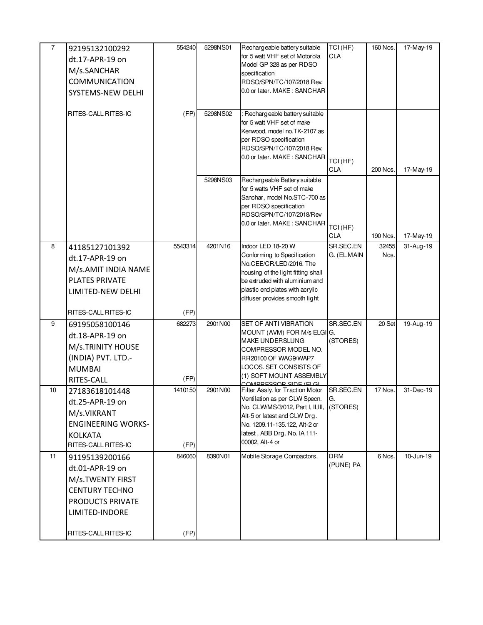| $\overline{7}$ | 92195132100292            | 554240  | 5298NS01 | Rechargeable battery suitable                                 | TCI (HF)    | 160 Nos.      | 17-May-19 |
|----------------|---------------------------|---------|----------|---------------------------------------------------------------|-------------|---------------|-----------|
|                | dt.17-APR-19 on           |         |          | for 5 watt VHF set of Motorola                                | CLA         |               |           |
|                |                           |         |          | Model GP 328 as per RDSO                                      |             |               |           |
|                | M/s.SANCHAR               |         |          | specification                                                 |             |               |           |
|                | <b>COMMUNICATION</b>      |         |          | RDSO/SPN/TC/107/2018 Rev.                                     |             |               |           |
|                | SYSTEMS-NEW DELHI         |         |          | 0.0 or later. MAKE: SANCHAR                                   |             |               |           |
|                | RITES-CALL RITES-IC       | (FP)    | 5298NS02 | : Rechargeable battery suitable                               |             |               |           |
|                |                           |         |          | for 5 watt VHF set of make<br>Kenwood, model no.TK-2107 as    |             |               |           |
|                |                           |         |          | per RDSO specification                                        |             |               |           |
|                |                           |         |          | RDSO/SPN/TC/107/2018 Rev.                                     |             |               |           |
|                |                           |         |          | 0.0 or later. MAKE: SANCHAR                                   | TCI(HF)     |               |           |
|                |                           |         |          |                                                               | <b>CLA</b>  | 200 Nos       | 17-May-19 |
|                |                           |         | 5298NS03 | Rechargeable Battery suitable                                 |             |               |           |
|                |                           |         |          | for 5 watts VHF set of make                                   |             |               |           |
|                |                           |         |          | Sanchar, model No.STC-700 as                                  |             |               |           |
|                |                           |         |          | per RDSO specification                                        |             |               |           |
|                |                           |         |          | RDSO/SPN/TC/107/2018/Rev                                      |             |               |           |
|                |                           |         |          | 0.0 or later. MAKE: SANCHAR                                   | TCI (HF)    |               |           |
|                |                           |         |          |                                                               | <b>CLA</b>  | 190 Nos.      | 17-May-19 |
| 8              | 41185127101392            | 5543314 | 4201N16  | Indoor LED 18-20 W                                            | SR.SEC.EN   | 32455<br>Nos. | 31-Aug-19 |
|                | dt.17-APR-19 on           |         |          | Conforming to Specification<br>No.CEE/CR/LED/2016. The        | G. (EL.MAIN |               |           |
|                | M/s.AMIT INDIA NAME       |         |          | housing of the light fitting shall                            |             |               |           |
|                | <b>PLATES PRIVATE</b>     |         |          | be extruded with aluminium and                                |             |               |           |
|                | LIMITED-NEW DELHI         |         |          | plastic end plates with acrylic                               |             |               |           |
|                |                           |         |          | diffuser provides smooth light                                |             |               |           |
|                | RITES-CALL RITES-IC       | (FP)    |          |                                                               |             |               |           |
| 9              | 69195058100146            | 682273  | 2901N00  | SET OF ANTI VIBRATION                                         | SR.SEC.EN   | 20 Set        | 19-Aug-19 |
|                | dt.18-APR-19 on           |         |          | MOUNT (AVM) FOR M/s ELGIG.<br>MAKE UNDERSLUNG                 | (STORES)    |               |           |
|                | M/s.TRINITY HOUSE         |         |          | COMPRESSOR MODEL NO.                                          |             |               |           |
|                | (INDIA) PVT. LTD.-        |         |          | RR20100 OF WAG9/WAP7                                          |             |               |           |
|                | <b>MUMBAI</b>             |         |          | LOCOS. SET CONSISTS OF                                        |             |               |           |
|                | RITES-CALL                | (FP)    |          | (1) SOFT MOUNT ASSEMBLY<br>COMPRESSOR SIDE (ELGI              |             |               |           |
| 10             | 27183618101448            | 1410150 | 2901N00  | Filter Assly. for Traction Motor                              | SR.SEC.EN   | 17 Nos.       | 31-Dec-19 |
|                | dt.25-APR-19 on           |         |          | Ventilation as per CLW Specn.                                 | IG.         |               |           |
|                | M/s.VIKRANT               |         |          | No. CLW/MS/3/012, Part I, II, III,                            | (STORES)    |               |           |
|                | <b>ENGINEERING WORKS-</b> |         |          | Alt-5 or latest and CLW Drg.<br>No. 1209.11-135.122, Alt-2 or |             |               |           |
|                | <b>KOLKATA</b>            |         |          | latest, ABB Drg. No. IA 111-                                  |             |               |           |
|                | RITES-CALL RITES-IC       | (FP)    |          | 00002, Alt-4 or                                               |             |               |           |
| 11             | 91195139200166            | 846060  | 8390N01  | Mobile Storage Compactors.                                    | <b>DRM</b>  | 6 Nos.        | 10-Jun-19 |
|                |                           |         |          |                                                               | (PUNE) PA   |               |           |
|                | dt.01-APR-19 on           |         |          |                                                               |             |               |           |
|                | M/s.TWENTY FIRST          |         |          |                                                               |             |               |           |
|                | <b>CENTURY TECHNO</b>     |         |          |                                                               |             |               |           |
|                | PRODUCTS PRIVATE          |         |          |                                                               |             |               |           |
|                | LIMITED-INDORE            |         |          |                                                               |             |               |           |
|                | RITES-CALL RITES-IC       | (FP)    |          |                                                               |             |               |           |
|                |                           |         |          |                                                               |             |               |           |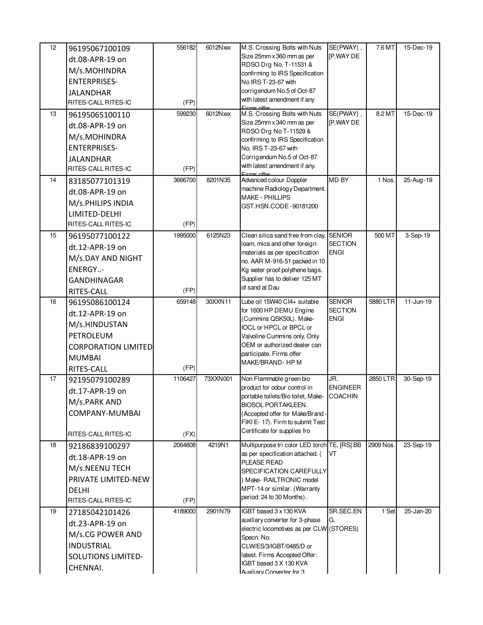| 12 | 96195067100109             | 556182  | 6012Nxxx | M.S. Crossing Bolts with Nuts                                      | SE(PWAY),                         | 7.6 MT    | 15-Dec-19     |
|----|----------------------------|---------|----------|--------------------------------------------------------------------|-----------------------------------|-----------|---------------|
|    | dt.08-APR-19 on            |         |          | Size 25mm x 360 mm as per                                          | [P.WAY DE                         |           |               |
|    | M/s.MOHINDRA               |         |          | RDSO Drg No. T-11531 &                                             |                                   |           |               |
|    | <b>ENTERPRISES-</b>        |         |          | confirming to IRS Specification<br>No IRS T-23-67 with             |                                   |           |               |
|    | <b>JALANDHAR</b>           |         |          | corrigendum No.5 of Oct-87                                         |                                   |           |               |
|    | RITES-CALL RITES-IC        | (FP)    |          | with latest amendment if any                                       |                                   |           |               |
| 13 | 96195065100110             | 599230  | 6012Nxx  | Firme offer<br>M.S. Crossing Bolts with Nuts                       | SE(PWAY),                         | 8.2 MT    | 15-Dec-19     |
|    | dt.08-APR-19 on            |         |          | Size 25mm x 340 mm as per                                          | [P.WAY DE                         |           |               |
|    | M/s.MOHINDRA               |         |          | RDSO Drg No T-11529 &                                              |                                   |           |               |
|    | <b>ENTERPRISES-</b>        |         |          | confirming to IRS Specification<br>No. IRS T-23-67 with            |                                   |           |               |
|    | <b>JALANDHAR</b>           |         |          | Corrigendum No.5 of Oct-87                                         |                                   |           |               |
|    | RITES-CALL RITES-IC        | (FP)    |          | with latest amendment if any.                                      |                                   |           |               |
| 14 | 83185077101319             | 3666700 | 8201N35  | Firme offer<br>Advanced colour Doppler                             | <b>MD BY</b>                      | 1 Nos.    | 25-Aug-19     |
|    |                            |         |          | machine Radiology Department.                                      |                                   |           |               |
|    | dt.08-APR-19 on            |         |          | <b>MAKE - PHILLIPS</b>                                             |                                   |           |               |
|    | M/s.PHILIPS INDIA          |         |          | GST.HSN.CODE -90181200                                             |                                   |           |               |
|    | LIMITED-DELHI              |         |          |                                                                    |                                   |           |               |
|    | RITES-CALL RITES-IC        | (FP)    |          |                                                                    | <b>SENIOR</b>                     |           |               |
| 15 | 96195077100122             | 1995000 | 6125N23  | Clean silica sand free from clay,<br>loam, mica and other foreign  | <b>SECTION</b>                    | 500 MT    | 3-Sep-19      |
|    | dt.12-APR-19 on            |         |          | materials as per specification                                     | <b>ENGI</b>                       |           |               |
|    | M/s.DAY AND NIGHT          |         |          | no. AAR M-916-51 packed in 10                                      |                                   |           |               |
|    | ENERGY-                    |         |          | Kg water proof polythene bags.                                     |                                   |           |               |
|    | <b>GANDHINAGAR</b>         |         |          | Supplier has to deliver 125 MT<br>of sand at Dau                   |                                   |           |               |
|    | RITES-CALL                 | (FP)    |          |                                                                    |                                   |           |               |
| 16 | 96195086100124             | 659148  | 30XXN11  | Lube oil 15W40 CI4+ suitable                                       | <b>SENIOR</b>                     | 5880 LTR  | $11 - Jun-19$ |
|    | dt.12-APR-19 on            |         |          | for 1600 HP DEMU Engine<br>(Cummins QSK50L). Make-                 | <b>SECTION</b><br><b>ENGI</b>     |           |               |
|    | M/s.HINDUSTAN              |         |          | <b>IOCL or HPCL or BPCL or</b>                                     |                                   |           |               |
|    | PETROLEUM                  |         |          | Valvoline Cummins only. Only                                       |                                   |           |               |
|    | <b>CORPORATION LIMITED</b> |         |          | OEM or authorized dealer can                                       |                                   |           |               |
|    | <b>MUMBAI</b>              |         |          | participate. Firms offer<br>MAKE/BRAND-HPM                         |                                   |           |               |
|    | RITES-CALL                 | (FP)    |          |                                                                    |                                   |           |               |
| 17 | 92195079100289             | 1106427 | 73XXN001 | Non Flammable green bio                                            | JR.                               | 2850 LTR  | 30-Sep-19     |
|    | dt.17-APR-19 on            |         |          | product for odour control in<br>portable toilets/Bio toilet, Make- | <b>ENGINEER</b><br><b>COACHIN</b> |           |               |
|    | M/s.PARK AND               |         |          | <b>BIOSOL PORTAKLEEN.</b>                                          |                                   |           |               |
|    | COMPANY-MUMBAI             |         |          | (Accepted offer for Make/Brand                                     |                                   |           |               |
|    |                            |         |          | FIKI E-17). Firm to submit Test                                    |                                   |           |               |
|    | RITES-CALL RITES-IC        | (FX)    |          | Certificate for supplies fro                                       |                                   |           |               |
| 18 | 92186839100297             | 2064808 | 4219N1   | Multipurpose tri color LED torch TE, [RS] BB                       |                                   | 2909 Nos. | 23-Sep-19     |
|    | dt.18-APR-19 on            |         |          | as per specification attached. (<br><b>PLEASE READ</b>             | VT                                |           |               |
|    | M/s.NEENU TECH             |         |          | SPECIFICATION CAREFULLY                                            |                                   |           |               |
|    | PRIVATE LIMITED-NEW        |         |          | ) Make- RAILTRONIC model                                           |                                   |           |               |
|    | <b>DELHI</b>               |         |          | MPT-14 or similar. (Warranty                                       |                                   |           |               |
|    | RITES-CALL RITES-IC        | (FP)    |          | period: 24 to 30 Months).                                          |                                   |           |               |
| 19 | 27185042101426             | 4189000 | 2901N79  | IGBT based 3 x 130 KVA                                             | SR.SEC.EN                         | 1 Set     | 25-Jan-20     |
|    | dt.23-APR-19 on            |         |          | auxiliary converter for 3-phase                                    | G.                                |           |               |
|    | M/s.CG POWER AND           |         |          | electric locomotives as per CLW (STORES)<br>Specn. No.             |                                   |           |               |
|    | <b>INDUSTRIAL</b>          |         |          | CLW/ES/3/IGBT/0485/D or                                            |                                   |           |               |
|    | <b>SOLUTIONS LIMITED-</b>  |         |          | latest. Firms Accepted Offer:                                      |                                   |           |               |
|    | CHENNAI.                   |         |          | IGBT based 3 X 130 KVA                                             |                                   |           |               |
|    |                            |         |          | Auxiliary Converter for 3                                          |                                   |           |               |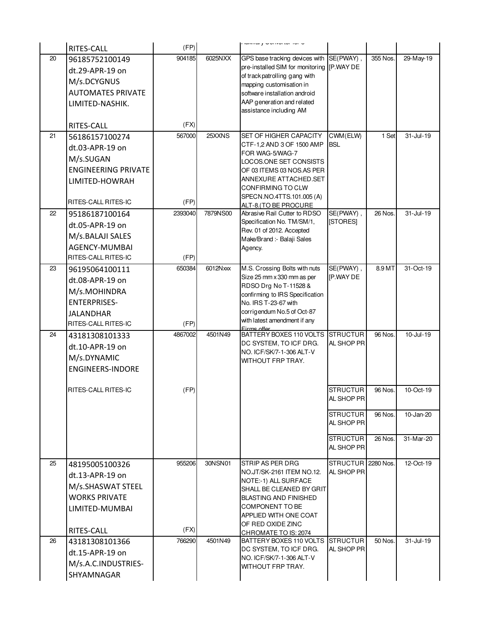|    | RITES-CALL                 | (FP)    |          | $\sim$ $\sim$ $\sim$ $\sim$ $\sim$                        |                    |          |           |
|----|----------------------------|---------|----------|-----------------------------------------------------------|--------------------|----------|-----------|
| 20 | 96185752100149             | 904185  | 6025NXX  | GPS base tracking devices with SE(PWAY),                  |                    | 355 Nos. | 29-May-19 |
|    | dt.29-APR-19 on            |         |          | pre-installed SIM for monitoring [P.WAY DE                |                    |          |           |
|    | M/s.DCYGNUS                |         |          | of track patrolling gang with<br>mapping customisation in |                    |          |           |
|    | <b>AUTOMATES PRIVATE</b>   |         |          | software installation android                             |                    |          |           |
|    | LIMITED-NASHIK.            |         |          | AAP generation and related                                |                    |          |           |
|    |                            |         |          | assistance including AM                                   |                    |          |           |
|    | RITES-CALL                 | (FX)    |          |                                                           |                    |          |           |
| 21 | 56186157100274             | 567000  | 25XXNS   | SET OF HIGHER CAPACITY                                    | CWM(ELW)           | 1 Set    | 31-Jul-19 |
|    | dt.03-APR-19 on            |         |          | CTF-1,2 AND 3 OF 1500 AMP                                 | <b>BSL</b>         |          |           |
|    | M/s.SUGAN                  |         |          | FOR WAG-5/WAG-7<br>LOCOS.ONE SET CONSISTS                 |                    |          |           |
|    | <b>ENGINEERING PRIVATE</b> |         |          | OF 03 ITEMS 03 NOS.AS PER                                 |                    |          |           |
|    | LIMITED-HOWRAH             |         |          | ANNEXURE ATTACHED.SET                                     |                    |          |           |
|    |                            |         |          | CONFIRMING TO CLW                                         |                    |          |           |
|    | RITES-CALL RITES-IC        | (FP)    |          | SPECN.NO.4TTS.101.005 (A)<br>ALT-8.(TO BE PROCURE         |                    |          |           |
| 22 | 95186187100164             | 2393040 | 7879NS00 | Abrasive Rail Cutter to RDSO                              | SE(PWAY),          | 26 Nos.  | 31-Jul-19 |
|    | dt.05-APR-19 on            |         |          | Specification No. TM/SM/1,                                | [STORES]           |          |           |
|    | M/s.BALAJI SALES           |         |          | Rev. 01 of 2012. Accepted<br>Make/Brand :- Balaji Sales   |                    |          |           |
|    | AGENCY-MUMBAI              |         |          | Agency.                                                   |                    |          |           |
|    | RITES-CALL RITES-IC        | (FP)    |          |                                                           |                    |          |           |
| 23 | 96195064100111             | 650384  | 6012Nxx  | M.S. Crossing Bolts with nuts                             | SE(PWAY),          | 8.9 MT   | 31-Oct-19 |
|    | dt.08-APR-19 on            |         |          | Size 25 mm x 330 mm as per                                | [P.WAY DE          |          |           |
|    | M/s.MOHINDRA               |         |          | RDSO Drg No T-11528 &<br>confirming to IRS Specification  |                    |          |           |
|    | <b>ENTERPRISES-</b>        |         |          | No. IRS T-23-67 with                                      |                    |          |           |
|    | <b>JALANDHAR</b>           |         |          | corrigendum No.5 of Oct-87                                |                    |          |           |
|    | RITES-CALL RITES-IC        | (FP)    |          | with latest amendment if any<br>Firme offer               |                    |          |           |
| 24 | 43181308101333             | 4867002 | 4501N49  | BATTERY BOXES 110 VOLTS                                   | <b>STRUCTUR</b>    | 96 Nos.  | 10-Jul-19 |
|    | dt.10-APR-19 on            |         |          | DC SYSTEM, TO ICF DRG.                                    | AL SHOP PR         |          |           |
|    | M/s.DYNAMIC                |         |          | NO. ICF/SK/7-1-306 ALT-V<br>WITHOUT FRP TRAY.             |                    |          |           |
|    | <b>ENGINEERS-INDORE</b>    |         |          |                                                           |                    |          |           |
|    |                            |         |          |                                                           |                    |          |           |
|    | RITES-CALL RITES-IC        | (FP)    |          |                                                           | <b>STRUCTUR</b>    | 96 Nos.  | 10-Oct-19 |
|    |                            |         |          |                                                           | AL SHOP PR         |          |           |
|    |                            |         |          |                                                           | <b>STRUCTUR</b>    | 96 Nos.  | 10-Jan-20 |
|    |                            |         |          |                                                           | AL SHOP PR         |          |           |
|    |                            |         |          |                                                           | STRUCTUR           | 26 Nos.  | 31-Mar-20 |
|    |                            |         |          |                                                           | AL SHOP PR         |          |           |
| 25 | 48195005100326             | 955206  | 30NSN01  | <b>STRIP AS PER DRG</b>                                   | STRUCTUR 2280 Nos. |          | 12-Oct-19 |
|    | dt.13-APR-19 on            |         |          | NO.JT/SK-2161 ITEM NO.12.                                 | AL SHOP PR         |          |           |
|    | M/s.SHASWAT STEEL          |         |          | NOTE:-1) ALL SURFACE                                      |                    |          |           |
|    | <b>WORKS PRIVATE</b>       |         |          | SHALL BE CLEANED BY GRIT<br><b>BLASTING AND FINISHED</b>  |                    |          |           |
|    | LIMITED-MUMBAI             |         |          | <b>COMPONENT TO BE</b>                                    |                    |          |           |
|    |                            |         |          | APPLIED WITH ONE COAT                                     |                    |          |           |
|    | RITES-CALL                 | (FX)    |          | OF RED OXIDE ZINC                                         |                    |          |           |
| 26 | 43181308101366             | 766290  | 4501N49  | CHROMATE TO IS: 2074<br>BATTERY BOXES 110 VOLTS           | <b>STRUCTUR</b>    | 50 Nos.  | 31-Jul-19 |
|    | dt.15-APR-19 on            |         |          | DC SYSTEM, TO ICF DRG.                                    | AL SHOP PR         |          |           |
|    | M/s.A.C.INDUSTRIES-        |         |          | NO. ICF/SK/7-1-306 ALT-V                                  |                    |          |           |
|    | SHYAMNAGAR                 |         |          | WITHOUT FRP TRAY.                                         |                    |          |           |
|    |                            |         |          |                                                           |                    |          |           |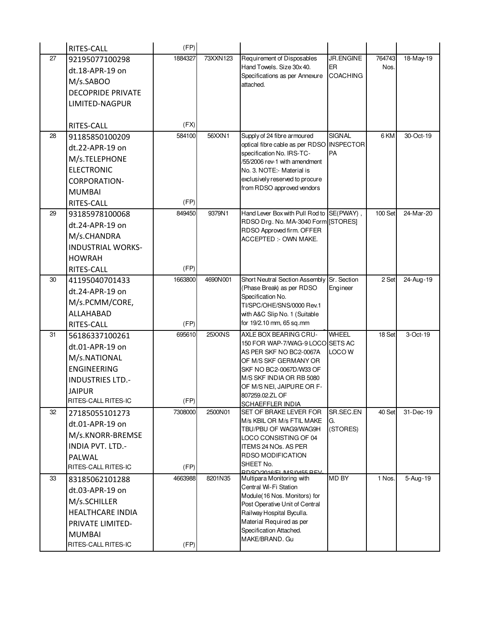|    | RITES-CALL                    | (FP)    |          |                                                            |                  |         |           |
|----|-------------------------------|---------|----------|------------------------------------------------------------|------------------|---------|-----------|
| 27 | 92195077100298                | 1884327 | 73XXN123 | Requirement of Disposables                                 | <b>JR.ENGINE</b> | 764743  | 18-May-19 |
|    | dt.18-APR-19 on               |         |          | Hand Towels. Size 30x 40.                                  | <b>ER</b>        | Nos.    |           |
|    | M/s.SABOO                     |         |          | Specifications as per Annexure<br>attached.                | <b>COACHING</b>  |         |           |
|    | <b>DECOPRIDE PRIVATE</b>      |         |          |                                                            |                  |         |           |
|    | LIMITED-NAGPUR                |         |          |                                                            |                  |         |           |
|    |                               |         |          |                                                            |                  |         |           |
|    | RITES-CALL                    | (FX)    |          |                                                            |                  |         |           |
| 28 | 91185850100209                | 584100  | 56XXN1   | Supply of 24 fibre armoured                                | <b>SIGNAL</b>    | 6 KM    | 30-Oct-19 |
|    | dt.22-APR-19 on               |         |          | optical fibre cable as per RDSO INSPECTOR                  |                  |         |           |
|    | M/s.TELEPHONE                 |         |          | specification No. IRS-TC-<br>/55/2006 rev-1 with amendment | PA               |         |           |
|    | <b>ELECTRONIC</b>             |         |          | No. 3. NOTE:- Material is                                  |                  |         |           |
|    | <b>CORPORATION-</b>           |         |          | exclusively reserved to procure                            |                  |         |           |
|    | <b>MUMBAI</b>                 |         |          | from RDSO approved vendors                                 |                  |         |           |
|    | RITES-CALL                    | (FP)    |          |                                                            |                  |         |           |
| 29 | 93185978100068                | 849450  | 9379N1   | Hand Lever Box with Pull Rod to SE(PWAY),                  |                  | 100 Set | 24-Mar-20 |
|    | dt.24-APR-19 on               |         |          | RDSO Drg. No. MA-3040 Form STORES                          |                  |         |           |
|    | M/s.CHANDRA                   |         |          | RDSO Approved firm. OFFER<br>ACCEPTED :- OWN MAKE.         |                  |         |           |
|    | <b>INDUSTRIAL WORKS-</b>      |         |          |                                                            |                  |         |           |
|    | <b>HOWRAH</b>                 |         |          |                                                            |                  |         |           |
|    | RITES-CALL                    | (FP)    |          |                                                            |                  |         |           |
| 30 | 41195040701433                | 1663800 | 4690N001 | Short Neutral Section Assembly Sr. Section                 |                  | 2 Set   | 24-Aug-19 |
|    | dt.24-APR-19 on               |         |          | (Phase Break) as per RDSO                                  | Engineer         |         |           |
|    | M/s.PCMM/CORE,                |         |          | Specification No.<br>TI/SPC/OHE/SNS/0000 Rev.1             |                  |         |           |
|    | ALLAHABAD                     |         |          | with A&C Slip No. 1 (Suitable                              |                  |         |           |
|    | RITES-CALL                    | (FP)    |          | for 19/2.10 mm, 65 sq.mm                                   |                  |         |           |
| 31 | 56186337100261                | 695610  | 25XXNS   | AXLE BOX BEARING CRU-                                      | <b>WHEEL</b>     | 18 Set  | 3-Oct-19  |
|    | dt.01-APR-19 on               |         |          | 150 FOR WAP-7/WAG-9 LOCO SETS AC                           |                  |         |           |
|    | M/s.NATIONAL                  |         |          | AS PER SKF NO BC2-0067A                                    | LOCO W           |         |           |
|    | <b>ENGINEERING</b>            |         |          | OF M/S SKF GERMANY OR<br>SKF NO BC2-0067D/W33 OF           |                  |         |           |
|    | <b>INDUSTRIES LTD.-</b>       |         |          | M/S SKF INDIA OR RB 5080                                   |                  |         |           |
|    | <b>JAIPUR</b>                 |         |          | OF M/S NEI, JAIPURE OR F-                                  |                  |         |           |
|    | RITES-CALL RITES-IC           | (FP)    |          | 807259.02.ZLOF                                             |                  |         |           |
| 32 | 27185055101273                | 7308000 | 2500N01  | SCHAEFFLER INDIA<br>SET OF BRAKE LEVER FOR                 | SR.SEC.EN        | 40 Set  | 31-Dec-19 |
|    | dt.01-APR-19 on               |         |          | M/s KBIL OR M/s FTIL MAKE                                  | G.               |         |           |
|    | M/s.KNORR-BREMSE              |         |          | TBU/PBU OF WAG9/WAG9H                                      | (STORES)         |         |           |
|    | <b>INDIA PVT. LTD.-</b>       |         |          | LOCO CONSISTING OF 04                                      |                  |         |           |
|    |                               |         |          | ITEMS 24 NOs. AS PER<br><b>RDSO MODIFICATION</b>           |                  |         |           |
|    | PALWAL<br>RITES-CALL RITES-IC | (FP)    |          | SHEET No.                                                  |                  |         |           |
| 33 |                               | 4663988 | 8201N35  | RDSO/2016/EL/MS/0455 REV.<br>Multipara Monitoring with     | <b>MD BY</b>     | 1 Nos.  | 5-Aug-19  |
|    | 83185062101288                |         |          | Central Wi-Fi Station                                      |                  |         |           |
|    | dt.03-APR-19 on               |         |          | Module(16 Nos. Monitors) for                               |                  |         |           |
|    | M/s.SCHILLER                  |         |          | Post Operative Unit of Central                             |                  |         |           |
|    | HEALTHCARE INDIA              |         |          | Railway Hospital Byculla.<br>Material Required as per      |                  |         |           |
|    | PRIVATE LIMITED-              |         |          | Specification Attached.                                    |                  |         |           |
|    | <b>MUMBAI</b>                 |         |          | MAKE/BRAND. Gu                                             |                  |         |           |
|    | RITES-CALL RITES-IC           | (FP)    |          |                                                            |                  |         |           |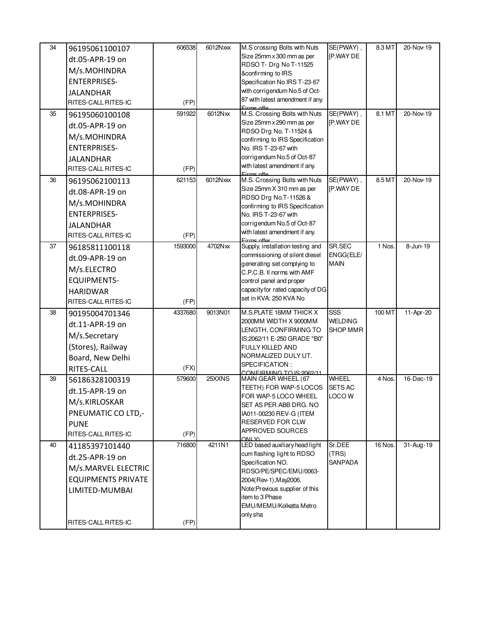| 34 | 96195061100107            | 606538  | 6012Nxxx | M.S crossing Bolts with Nuts                              | SE(PWAY),                         | 8.3 MT  | 20-Nov-19 |
|----|---------------------------|---------|----------|-----------------------------------------------------------|-----------------------------------|---------|-----------|
|    | dt.05-APR-19 on           |         |          | Size 25mm x 300 mm as per                                 | [P.WAY DE                         |         |           |
|    | M/s.MOHINDRA              |         |          | RDSO T- Drg No T-11525                                    |                                   |         |           |
|    | <b>ENTERPRISES-</b>       |         |          | &confirming to IRS<br>Specification No IRS T-23-67        |                                   |         |           |
|    | <b>JALANDHAR</b>          |         |          | with corrigendum No.5 of Oct-                             |                                   |         |           |
|    | RITES-CALL RITES-IC       | (FP)    |          | 87 with latest amendment if any.<br>Firme offe            |                                   |         |           |
| 35 | 96195060100108            | 591922  | 6012Nxx  | M.S. Crossing Bolts with Nuts                             | SE(PWAY),                         | 8.1 MT  | 20-Nov-19 |
|    | dt.05-APR-19 on           |         |          | Size 25mm x 290 mm as per                                 | <b>IP.WAY DE</b>                  |         |           |
|    | M/s.MOHINDRA              |         |          | RDSO Drg No. T-11524 &<br>confirming to IRS Specification |                                   |         |           |
|    | <b>ENTERPRISES-</b>       |         |          | No. IRS T-23-67 with                                      |                                   |         |           |
|    | <b>JALANDHAR</b>          |         |          | corrigendum No.5 of Oct-87                                |                                   |         |           |
|    | RITES-CALL RITES-IC       | (FP)    |          | with latest amendment if any.<br>Firme offe               |                                   |         |           |
| 36 | 96195062100113            | 621153  | 6012Nxx  | M.S. Crossing Bolts with Nuts                             | SE(PWAY),                         | 8.5 MT  | 20-Nov-19 |
|    | dt.08-APR-19 on           |         |          | Size 25mm X 310 mm as per<br>RDSO Drg No.T-11526 &        | [P.WAY DE                         |         |           |
|    | M/s.MOHINDRA              |         |          | confirming to IRS Specification                           |                                   |         |           |
|    | <b>ENTERPRISES-</b>       |         |          | No. IRS T-23-67 with                                      |                                   |         |           |
|    | <b>JALANDHAR</b>          |         |          | corrigendum No.5 of Oct-87                                |                                   |         |           |
|    | RITES-CALL RITES-IC       | (FP)    |          | with latest amendment if any.<br>Eirme offer              |                                   |         |           |
| 37 | 96185811100118            | 1593000 | 4702Nxx  | Supply, installation testing and                          | SR.SEC                            | 1 Nos.  | 8-Jun-19  |
|    | dt.09-APR-19 on           |         |          | commissioning of silent diesel                            | ENGG(ELE/                         |         |           |
|    | M/s.ELECTRO               |         |          | generating set complying to<br>C.P.C.B. II norms with AMF | <b>MAIN</b>                       |         |           |
|    | <b>EQUIPMENTS-</b>        |         |          | control panel and proper                                  |                                   |         |           |
|    | <b>HARIDWAR</b>           |         |          | capacity for rated capacity of DG                         |                                   |         |           |
|    | RITES-CALL RITES-IC       | (FP)    |          | set in KVA: 250 KVA No                                    |                                   |         |           |
| 38 | 90195004701346            | 4337680 | 9013N01  | M.S.PLATE 16MM THICK X                                    | SSS                               | 100 MT  | 11-Apr-20 |
|    | dt.11-APR-19 on           |         |          | 2000MM WIDTH X 9000MM                                     | <b>WELDING</b><br><b>SHOP MMR</b> |         |           |
|    | M/s.Secretary             |         |          | LENGTH, CONFIRMING TO<br>IS:2062/11 E-250 GRADE "B0"      |                                   |         |           |
|    | (Stores), Railway         |         |          | FULLY KILLED AND                                          |                                   |         |           |
|    | Board, New Delhi          |         |          | NORMALIZED DULY UT.                                       |                                   |         |           |
|    | RITES-CALL                | (FX)    |          | SPECIFICATION:<br>CONFIRMING TO IS:2062/11                |                                   |         |           |
| 39 | 56186328100319            | 579600  | 25XXNS   | MAIN GEAR WHEEL (67                                       | <b>WHEEL</b>                      | 4 Nos.  | 16-Dec-19 |
|    | dt.15-APR-19 on           |         |          | TEETH) FOR WAP-5 LOCOS<br>FOR WAP-5 LOCO WHEEL            | <b>SETS AC</b><br>LOCO W          |         |           |
|    | M/s.KIRLOSKAR             |         |          | SET AS PER ABB DRG. NO                                    |                                   |         |           |
|    | PNEUMATIC CO LTD,-        |         |          | IA011-00230 REV-G (ITEM                                   |                                   |         |           |
|    | <b>PUNE</b>               |         |          | RESERVED FOR CLW                                          |                                   |         |           |
|    | RITES-CALL RITES-IC       | (FP)    |          | APPROVED SOURCES<br>$N$ IIAO                              |                                   |         |           |
| 40 | 41185397101440            | 716800  | 4211N1   | LED based auxiliary head light                            | Sr.DEE                            | 16 Nos. | 31-Aug-19 |
|    | dt.25-APR-19 on           |         |          | cum flashing light to RDSO<br>Specification NO.           | (TRS)<br>SANPADA                  |         |           |
|    | M/s.MARVEL ELECTRIC       |         |          | RDSO/PE/SPEC/EMU/0063-                                    |                                   |         |           |
|    | <b>EQUIPMENTS PRIVATE</b> |         |          | 2004(Rev-1), May 2006.                                    |                                   |         |           |
|    | LIMITED-MUMBAI            |         |          | Note:Previous supplier of this                            |                                   |         |           |
|    |                           |         |          | item to 3 Phase<br>EMU/MEMU/Kolkatta Metro                |                                   |         |           |
|    |                           |         |          | only sha                                                  |                                   |         |           |
|    | RITES-CALL RITES-IC       | (FP)    |          |                                                           |                                   |         |           |